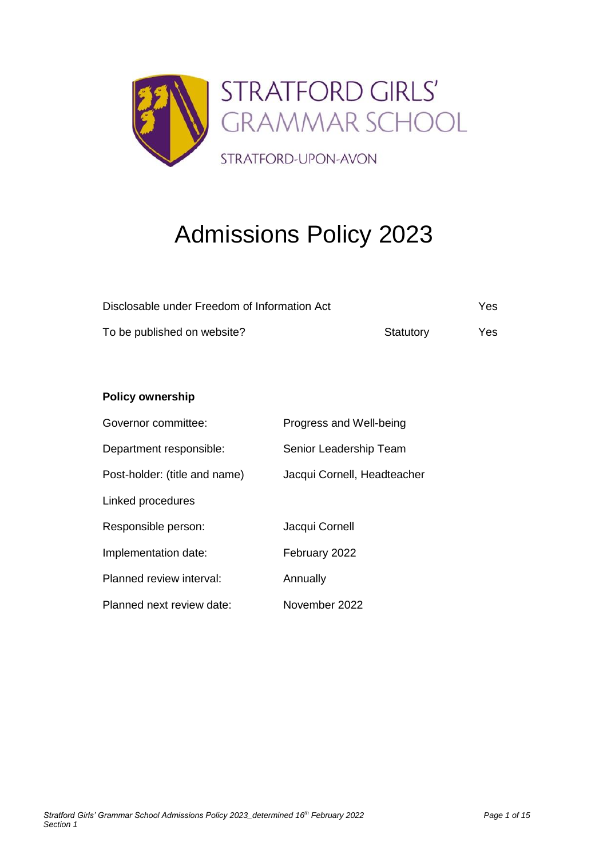

# Admissions Policy 2023

| Disclosable under Freedom of Information Act |           | Yes |
|----------------------------------------------|-----------|-----|
| To be published on website?                  | Statutory | Yes |

# **Policy ownership**

| Governor committee:           | Progress and Well-being     |
|-------------------------------|-----------------------------|
| Department responsible:       | Senior Leadership Team      |
| Post-holder: (title and name) | Jacqui Cornell, Headteacher |
| Linked procedures             |                             |
| Responsible person:           | Jacqui Cornell              |
| Implementation date:          | February 2022               |
| Planned review interval:      | Annually                    |
| Planned next review date:     | November 2022               |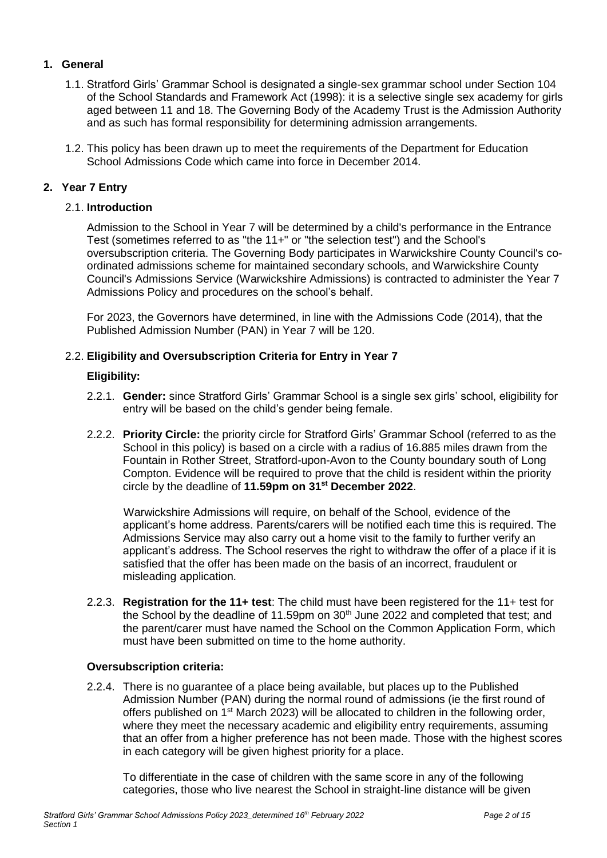# **1. General**

- 1.1. Stratford Girls' Grammar School is designated a single-sex grammar school under Section 104 of the School Standards and Framework Act (1998): it is a selective single sex academy for girls aged between 11 and 18. The Governing Body of the Academy Trust is the Admission Authority and as such has formal responsibility for determining admission arrangements.
- 1.2. This policy has been drawn up to meet the requirements of the Department for Education School Admissions Code which came into force in December 2014.

# **2. Year 7 Entry**

# 2.1. **Introduction**

Admission to the School in Year 7 will be determined by a child's performance in the Entrance Test (sometimes referred to as "the 11+" or "the selection test") and the School's oversubscription criteria. The Governing Body participates in Warwickshire County Council's coordinated admissions scheme for maintained secondary schools, and Warwickshire County Council's Admissions Service (Warwickshire Admissions) is contracted to administer the Year 7 Admissions Policy and procedures on the school's behalf.

For 2023, the Governors have determined, in line with the Admissions Code (2014), that the Published Admission Number (PAN) in Year 7 will be 120.

#### 2.2. **Eligibility and Oversubscription Criteria for Entry in Year 7**

#### **Eligibility:**

- 2.2.1. **Gender:** since Stratford Girls' Grammar School is a single sex girls' school, eligibility for entry will be based on the child's gender being female.
- 2.2.2. **[Priority Circle:](https://www.warwickshire.gov.uk/mapgrammarschools)** the priority circle for Stratford Girls' Grammar School (referred to as the School in this policy) is based on a circle with a radius of 16.885 miles drawn from the Fountain in Rother Street, Stratford-upon-Avon to the County boundary south of Long Compton. Evidence will be required to prove that the child is resident within the priority circle by the deadline of **11.59pm on 31st December 2022**.

Warwickshire Admissions will require, on behalf of the School, evidence of the applicant's home address. Parents/carers will be notified each time this is required. The Admissions Service may also carry out a home visit to the family to further verify an applicant's address. The School reserves the right to withdraw the offer of a place if it is satisfied that the offer has been made on the basis of an incorrect, fraudulent or misleading application.

2.2.3. **Registration for the 11+ test**: The child must have been registered for the 11+ test for the School by the deadline of 11.59pm on  $30<sup>th</sup>$  June 2022 and completed that test; and the parent/carer must have named the School on the Common Application Form, which must have been submitted on time to the home authority.

#### **Oversubscription criteria:**

2.2.4. There is no guarantee of a place being available, but places up to the Published Admission Number (PAN) during the normal round of admissions (ie the first round of offers published on 1<sup>st</sup> March 2023) will be allocated to children in the following order, where they meet the necessary academic and eligibility entry requirements, assuming that an offer from a higher preference has not been made. Those with the highest scores in each category will be given highest priority for a place.

To differentiate in the case of children with the same score in any of the following categories, those who live nearest the School in straight-line distance will be given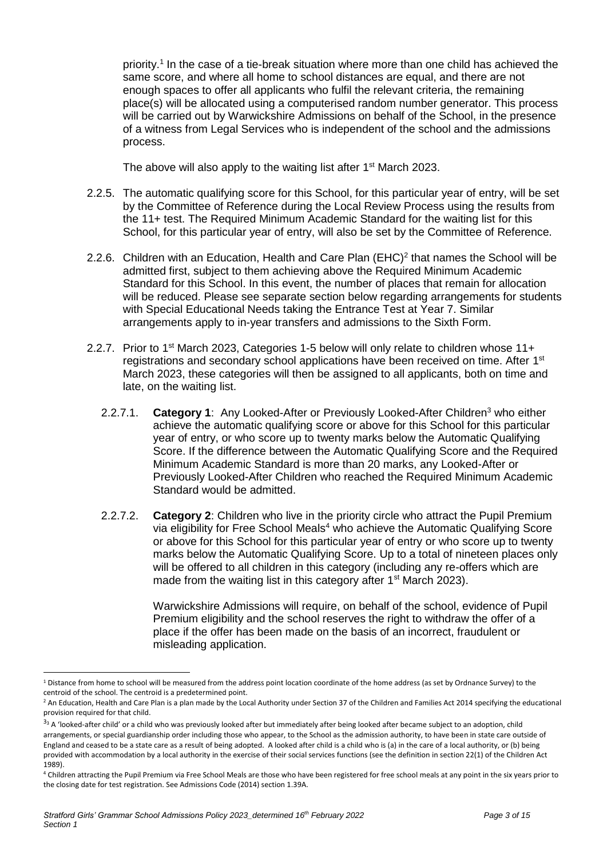priority.<sup>1</sup> In the case of a tie-break situation where more than one child has achieved the same score, and where all home to school distances are equal, and there are not enough spaces to offer all applicants who fulfil the relevant criteria, the remaining place(s) will be allocated using a computerised random number generator. This process will be carried out by Warwickshire Admissions on behalf of the School, in the presence of a witness from Legal Services who is independent of the school and the admissions process.

The above will also apply to the waiting list after 1<sup>st</sup> March 2023.

- 2.2.5. The automatic qualifying score for this School, for this particular year of entry, will be set by the Committee of Reference during the Local Review Process using the results from the 11+ test. The Required Minimum Academic Standard for the waiting list for this School, for this particular year of entry, will also be set by the Committee of Reference.
- 2.2.6. Children with an Education, Health and Care Plan (EHC)<sup>2</sup> that names the School will be admitted first, subject to them achieving above the Required Minimum Academic Standard for this School. In this event, the number of places that remain for allocation will be reduced. Please see separate section below regarding arrangements for students with Special Educational Needs taking the Entrance Test at Year 7. Similar arrangements apply to in-year transfers and admissions to the Sixth Form.
- 2.2.7. Prior to 1<sup>st</sup> March 2023, Categories 1-5 below will only relate to children whose 11+ registrations and secondary school applications have been received on time. After 1<sup>st</sup> March 2023, these categories will then be assigned to all applicants, both on time and late, on the waiting list.
	- 2.2.7.1. **Category 1**: Any Looked-After or Previously Looked-After Children<sup>3</sup> who either achieve the automatic qualifying score or above for this School for this particular year of entry, or who score up to twenty marks below the Automatic Qualifying Score. If the difference between the Automatic Qualifying Score and the Required Minimum Academic Standard is more than 20 marks, any Looked-After or Previously Looked-After Children who reached the Required Minimum Academic Standard would be admitted.
	- 2.2.7.2. **Category 2**: Children who live in the priority circle who attract the Pupil Premium via eligibility for Free School Meals<sup>4</sup> who achieve the Automatic Qualifying Score or above for this School for this particular year of entry or who score up to twenty marks below the Automatic Qualifying Score. Up to a total of nineteen places only will be offered to all children in this category (including any re-offers which are made from the waiting list in this category after 1<sup>st</sup> March 2023).

Warwickshire Admissions will require, on behalf of the school, evidence of Pupil Premium eligibility and the school reserves the right to withdraw the offer of a place if the offer has been made on the basis of an incorrect, fraudulent or misleading application.

 $\overline{a}$ <sup>1</sup> Distance from home to school will be measured from the address point location coordinate of the home address (as set by Ordnance Survey) to the centroid of the school. The centroid is a predetermined point.

<sup>&</sup>lt;sup>2</sup> An Education, Health and Care Plan is a plan made by the Local Authority under Section 37 of the Children and Families Act 2014 specifying the educational provision required for that child.

 $33$  A 'looked-after child' or a child who was previously looked after but immediately after being looked after became subject to an adoption, child arrangements, or special guardianship order including those who appear, to the School as the admission authority, to have been in state care outside of England and ceased to be a state care as a result of being adopted. A looked after child is a child who is (a) in the care of a local authority, or (b) being provided with accommodation by a local authority in the exercise of their social services functions (see the definition in section 22(1) of the Children Act 1989).

<sup>4</sup> Children attracting the Pupil Premium via Free School Meals are those who have been registered for free school meals at any point in the six years prior to the closing date for test registration. See Admissions Code (2014) section 1.39A.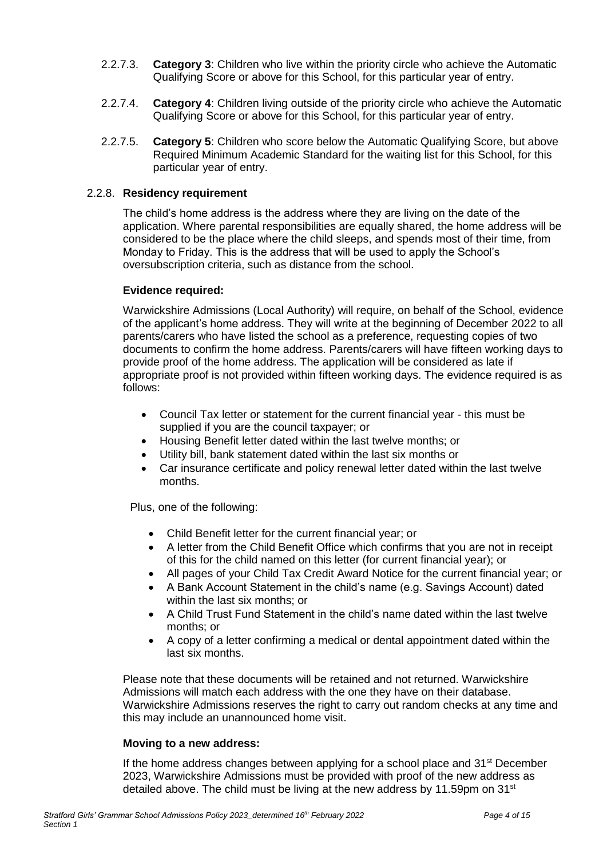- 2.2.7.3. **Category 3**: Children who live within the priority circle who achieve the Automatic Qualifying Score or above for this School, for this particular year of entry.
- 2.2.7.4. **Category 4**: Children living outside of the priority circle who achieve the Automatic Qualifying Score or above for this School, for this particular year of entry.
- 2.2.7.5. **Category 5**: Children who score below the Automatic Qualifying Score, but above Required Minimum Academic Standard for the waiting list for this School, for this particular year of entry.

#### 2.2.8. **Residency requirement**

The child's home address is the address where they are living on the date of the application. Where parental responsibilities are equally shared, the home address will be considered to be the place where the child sleeps, and spends most of their time, from Monday to Friday. This is the address that will be used to apply the School's oversubscription criteria, such as distance from the school.

#### **Evidence required:**

Warwickshire Admissions (Local Authority) will require, on behalf of the School, evidence of the applicant's home address. They will write at the beginning of December 2022 to all parents/carers who have listed the school as a preference, requesting copies of two documents to confirm the home address. Parents/carers will have fifteen working days to provide proof of the home address. The application will be considered as late if appropriate proof is not provided within fifteen working days. The evidence required is as follows:

- Council Tax letter or statement for the current financial year this must be supplied if you are the council taxpayer; or
- Housing Benefit letter dated within the last twelve months; or
- Utility bill, bank statement dated within the last six months or
- Car insurance certificate and policy renewal letter dated within the last twelve months.

Plus, one of the following:

- Child Benefit letter for the current financial year; or
- A letter from the Child Benefit Office which confirms that you are not in receipt of this for the child named on this letter (for current financial year); or
- All pages of your Child Tax Credit Award Notice for the current financial year; or
- A Bank Account Statement in the child's name (e.g. Savings Account) dated within the last six months; or
- A Child Trust Fund Statement in the child's name dated within the last twelve months; or
- A copy of a letter confirming a medical or dental appointment dated within the last six months.

Please note that these documents will be retained and not returned. Warwickshire Admissions will match each address with the one they have on their database. Warwickshire Admissions reserves the right to carry out random checks at any time and this may include an unannounced home visit.

#### **Moving to a new address:**

If the home address changes between applying for a school place and  $31<sup>st</sup>$  December 2023, Warwickshire Admissions must be provided with proof of the new address as detailed above. The child must be living at the new address by 11.59pm on 31<sup>st</sup>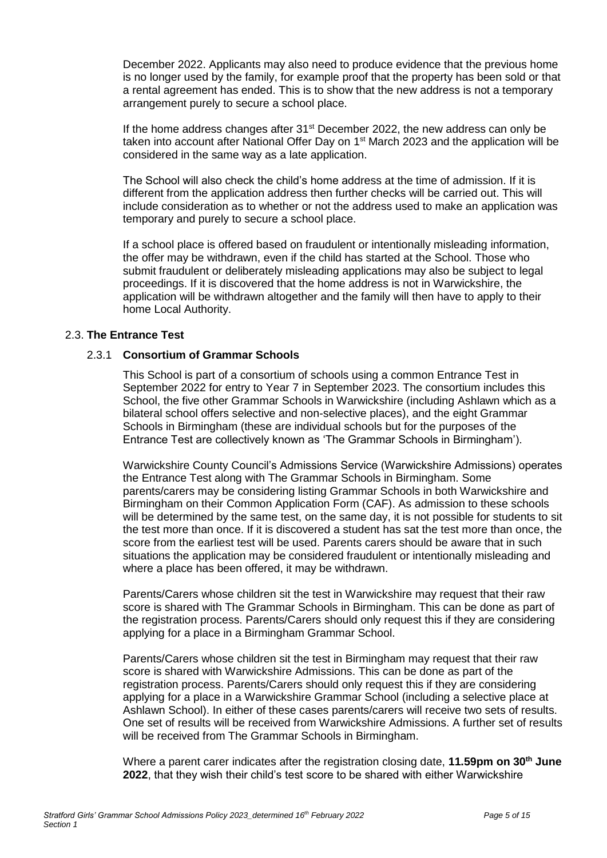December 2022. Applicants may also need to produce evidence that the previous home is no longer used by the family, for example proof that the property has been sold or that a rental agreement has ended. This is to show that the new address is not a temporary arrangement purely to secure a school place.

If the home address changes after  $31<sup>st</sup>$  December 2022, the new address can only be taken into account after National Offer Day on 1<sup>st</sup> March 2023 and the application will be considered in the same way as a late application.

The School will also check the child's home address at the time of admission. If it is different from the application address then further checks will be carried out. This will include consideration as to whether or not the address used to make an application was temporary and purely to secure a school place.

If a school place is offered based on fraudulent or intentionally misleading information, the offer may be withdrawn, even if the child has started at the School. Those who submit fraudulent or deliberately misleading applications may also be subject to legal proceedings. If it is discovered that the home address is not in Warwickshire, the application will be withdrawn altogether and the family will then have to apply to their home Local Authority.

## 2.3. **The Entrance Test**

## 2.3.1 **Consortium of Grammar Schools**

This School is part of a consortium of schools using a common Entrance Test in September 2022 for entry to Year 7 in September 2023. The consortium includes this School, the five other Grammar Schools in Warwickshire (including Ashlawn which as a bilateral school offers selective and non-selective places), and the eight Grammar Schools in Birmingham (these are individual schools but for the purposes of the Entrance Test are collectively known as 'The Grammar Schools in Birmingham').

Warwickshire County Council's Admissions Service (Warwickshire Admissions) operates the Entrance Test along with The Grammar Schools in Birmingham. Some parents/carers may be considering listing Grammar Schools in both Warwickshire and Birmingham on their Common Application Form (CAF). As admission to these schools will be determined by the same test, on the same day, it is not possible for students to sit the test more than once. If it is discovered a student has sat the test more than once, the score from the earliest test will be used. Parents carers should be aware that in such situations the application may be considered fraudulent or intentionally misleading and where a place has been offered, it may be withdrawn.

Parents/Carers whose children sit the test in Warwickshire may request that their raw score is shared with The Grammar Schools in Birmingham. This can be done as part of the registration process. Parents/Carers should only request this if they are considering applying for a place in a Birmingham Grammar School.

Parents/Carers whose children sit the test in Birmingham may request that their raw score is shared with Warwickshire Admissions. This can be done as part of the registration process. Parents/Carers should only request this if they are considering applying for a place in a Warwickshire Grammar School (including a selective place at Ashlawn School). In either of these cases parents/carers will receive two sets of results. One set of results will be received from Warwickshire Admissions. A further set of results will be received from The Grammar Schools in Birmingham.

Where a parent carer indicates after the registration closing date, **11.59pm on 30th June 2022**, that they wish their child's test score to be shared with either Warwickshire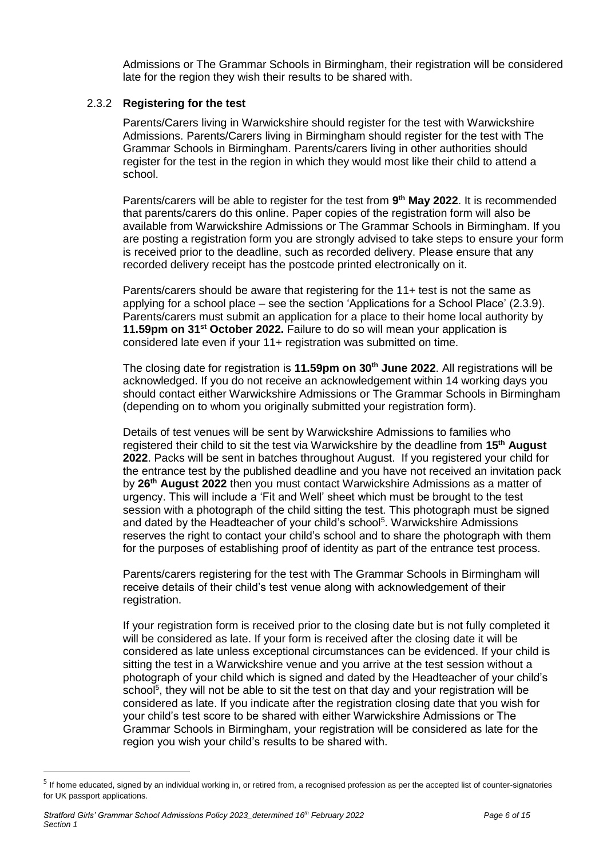Admissions or The Grammar Schools in Birmingham, their registration will be considered late for the region they wish their results to be shared with.

## 2.3.2 **Registering for the test**

Parents/Carers living in Warwickshire should register for the test with Warwickshire Admissions. Parents/Carers living in Birmingham should register for the test with The Grammar Schools in Birmingham. Parents/carers living in other authorities should register for the test in the region in which they would most like their child to attend a school.

Parents/carers will be able to register for the test from 9<sup>th</sup> May 2022. It is recommended that parents/carers do this online. Paper copies of the registration form will also be available from Warwickshire Admissions or The Grammar Schools in Birmingham. If you are posting a registration form you are strongly advised to take steps to ensure your form is received prior to the deadline, such as recorded delivery. Please ensure that any recorded delivery receipt has the postcode printed electronically on it.

Parents/carers should be aware that registering for the 11+ test is not the same as applying for a school place – see the section 'Applications for a School Place' (2.3.9). Parents/carers must submit an application for a place to their home local authority by **11.59pm on 31st October 2022.** Failure to do so will mean your application is considered late even if your 11+ registration was submitted on time.

The closing date for registration is **11.59pm on 30th June 2022**. All registrations will be acknowledged. If you do not receive an acknowledgement within 14 working days you should contact either Warwickshire Admissions or The Grammar Schools in Birmingham (depending on to whom you originally submitted your registration form).

Details of test venues will be sent by Warwickshire Admissions to families who registered their child to sit the test via Warwickshire by the deadline from 15<sup>th</sup> August **2022**. Packs will be sent in batches throughout August. If you registered your child for the entrance test by the published deadline and you have not received an invitation pack by **26th August 2022** then you must contact Warwickshire Admissions as a matter of urgency. This will include a 'Fit and Well' sheet which must be brought to the test session with a photograph of the child sitting the test. This photograph must be signed and dated by the Headteacher of your child's school<sup>5</sup>. Warwickshire Admissions reserves the right to contact your child's school and to share the photograph with them for the purposes of establishing proof of identity as part of the entrance test process.

Parents/carers registering for the test with The Grammar Schools in Birmingham will receive details of their child's test venue along with acknowledgement of their registration.

If your registration form is received prior to the closing date but is not fully completed it will be considered as late. If your form is received after the closing date it will be considered as late unless exceptional circumstances can be evidenced. If your child is sitting the test in a Warwickshire venue and you arrive at the test session without a photograph of your child which is signed and dated by the Headteacher of your child's school<sup>5</sup>, they will not be able to sit the test on that day and your registration will be considered as late. If you indicate after the registration closing date that you wish for your child's test score to be shared with either Warwickshire Admissions or The Grammar Schools in Birmingham, your registration will be considered as late for the region you wish your child's results to be shared with.

 $\overline{a}$ 

<sup>&</sup>lt;sup>5</sup> If home educated, signed by an individual working in, or retired from, a recognised profession as per the accepted list of counter-signatories for UK passport applications.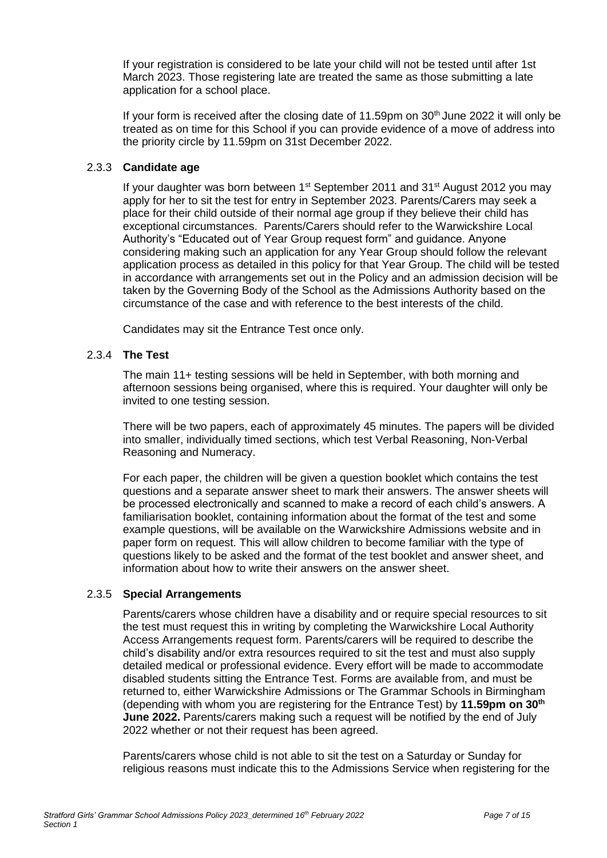If your registration is considered to be late your child will not be tested until after 1st March 2023. Those registering late are treated the same as those submitting a late application for a school place.

If your form is received after the closing date of 11.59pm on  $30<sup>th</sup>$  June 2022 it will only be treated as on time for this School if you can provide evidence of a move of address into the priority circle by 11.59pm on 31st December 2022.

# 2.3.3 **Candidate age**

If your daughter was born between  $1<sup>st</sup>$  September 2011 and 31 $<sup>st</sup>$  August 2012 you may</sup> apply for her to sit the test for entry in September 2023. Parents/Carers may seek a place for their child outside of their normal age group if they believe their child has exceptional circumstances. Parents/Carers should refer to the Warwickshire Local Authority's "Educated out of Year Group request form" and guidance. Anyone considering making such an application for any Year Group should follow the relevant application process as detailed in this policy for that Year Group. The child will be tested in accordance with arrangements set out in the Policy and an admission decision will be taken by the Governing Body of the School as the Admissions Authority based on the circumstance of the case and with reference to the best interests of the child.

Candidates may sit the Entrance Test once only.

# 2.3.4 **The Test**

The main 11+ testing sessions will be held in September, with both morning and afternoon sessions being organised, where this is required. Your daughter will only be invited to one testing session.

There will be two papers, each of approximately 45 minutes. The papers will be divided into smaller, individually timed sections, which test Verbal Reasoning, Non-Verbal Reasoning and Numeracy.

For each paper, the children will be given a question booklet which contains the test questions and a separate answer sheet to mark their answers. The answer sheets will be processed electronically and scanned to make a record of each child's answers. A familiarisation booklet, containing information about the format of the test and some example questions, will be available on the Warwickshire Admissions website and in paper form on request. This will allow children to become familiar with the type of questions likely to be asked and the format of the test booklet and answer sheet, and information about how to write their answers on the answer sheet.

## 2.3.5 **Special Arrangements**

Parents/carers whose children have a disability and or require special resources to sit the test must request this in writing by completing the Warwickshire Local Authority Access Arrangements request form. Parents/carers will be required to describe the child's disability and/or extra resources required to sit the test and must also supply detailed medical or professional evidence. Every effort will be made to accommodate disabled students sitting the Entrance Test. Forms are available from, and must be returned to, either Warwickshire Admissions or The Grammar Schools in Birmingham (depending with whom you are registering for the Entrance Test) by **11.59pm on 30th June 2022.** Parents/carers making such a request will be notified by the end of July 2022 whether or not their request has been agreed.

Parents/carers whose child is not able to sit the test on a Saturday or Sunday for religious reasons must indicate this to the Admissions Service when registering for the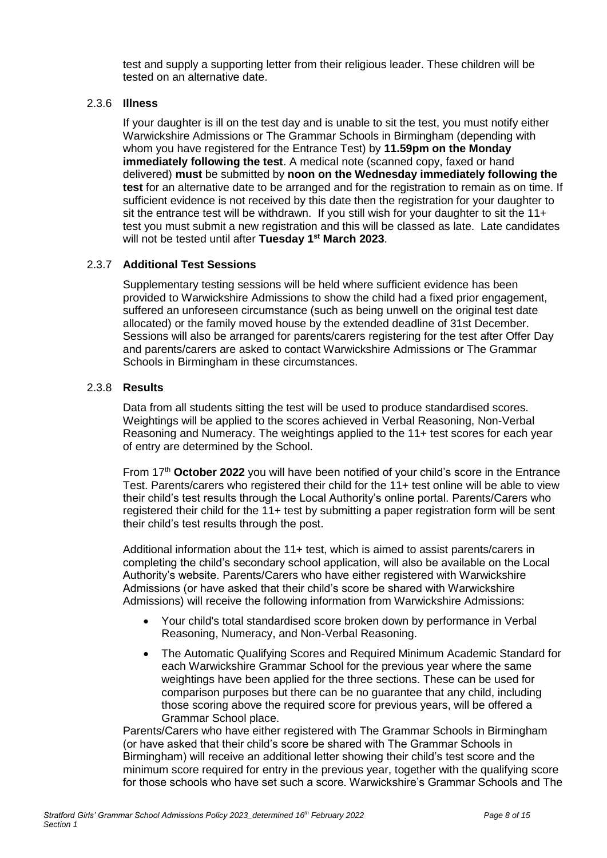test and supply a supporting letter from their religious leader. These children will be tested on an alternative date.

#### 2.3.6 **Illness**

If your daughter is ill on the test day and is unable to sit the test, you must notify either Warwickshire Admissions or The Grammar Schools in Birmingham (depending with whom you have registered for the Entrance Test) by **11.59pm on the Monday immediately following the test**. A medical note (scanned copy, faxed or hand delivered) **must** be submitted by **noon on the Wednesday immediately following the test** for an alternative date to be arranged and for the registration to remain as on time. If sufficient evidence is not received by this date then the registration for your daughter to sit the entrance test will be withdrawn. If you still wish for your daughter to sit the 11+ test you must submit a new registration and this will be classed as late. Late candidates will not be tested until after **Tuesday 1 st March 2023**.

## 2.3.7 **Additional Test Sessions**

Supplementary testing sessions will be held where sufficient evidence has been provided to Warwickshire Admissions to show the child had a fixed prior engagement, suffered an unforeseen circumstance (such as being unwell on the original test date allocated) or the family moved house by the extended deadline of 31st December. Sessions will also be arranged for parents/carers registering for the test after Offer Day and parents/carers are asked to contact Warwickshire Admissions or The Grammar Schools in Birmingham in these circumstances.

#### 2.3.8 **Results**

Data from all students sitting the test will be used to produce standardised scores. Weightings will be applied to the scores achieved in Verbal Reasoning, Non-Verbal Reasoning and Numeracy. The weightings applied to the 11+ test scores for each year of entry are determined by the School.

From 17th **October 2022** you will have been notified of your child's score in the Entrance Test. Parents/carers who registered their child for the 11+ test online will be able to view their child's test results through the Local Authority's online portal. Parents/Carers who registered their child for the 11+ test by submitting a paper registration form will be sent their child's test results through the post.

Additional information about the 11+ test, which is aimed to assist parents/carers in completing the child's secondary school application, will also be available on the Local Authority's website. Parents/Carers who have either registered with Warwickshire Admissions (or have asked that their child's score be shared with Warwickshire Admissions) will receive the following information from Warwickshire Admissions:

- Your child's total standardised score broken down by performance in Verbal Reasoning, Numeracy, and Non-Verbal Reasoning.
- The Automatic Qualifying Scores and Required Minimum Academic Standard for each Warwickshire Grammar School for the previous year where the same weightings have been applied for the three sections. These can be used for comparison purposes but there can be no guarantee that any child, including those scoring above the required score for previous years, will be offered a Grammar School place.

Parents/Carers who have either registered with The Grammar Schools in Birmingham (or have asked that their child's score be shared with The Grammar Schools in Birmingham) will receive an additional letter showing their child's test score and the minimum score required for entry in the previous year, together with the qualifying score for those schools who have set such a score. Warwickshire's Grammar Schools and The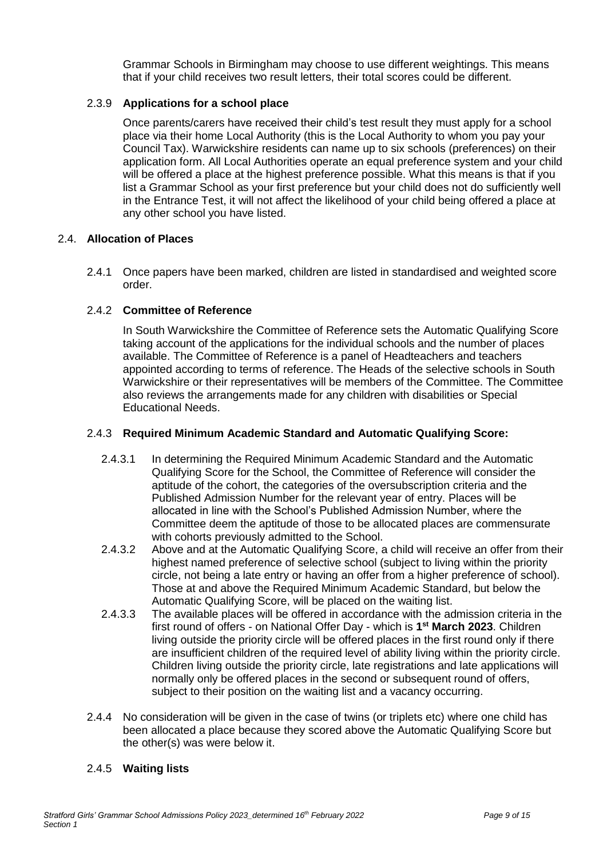Grammar Schools in Birmingham may choose to use different weightings. This means that if your child receives two result letters, their total scores could be different.

# 2.3.9 **Applications for a school place**

Once parents/carers have received their child's test result they must apply for a school place via their home Local Authority (this is the Local Authority to whom you pay your Council Tax). Warwickshire residents can name up to six schools (preferences) on their application form. All Local Authorities operate an equal preference system and your child will be offered a place at the highest preference possible. What this means is that if you list a Grammar School as your first preference but your child does not do sufficiently well in the Entrance Test, it will not affect the likelihood of your child being offered a place at any other school you have listed.

## 2.4. **Allocation of Places**

2.4.1 Once papers have been marked, children are listed in standardised and weighted score order.

# 2.4.2 **Committee of Reference**

In South Warwickshire the Committee of Reference sets the Automatic Qualifying Score taking account of the applications for the individual schools and the number of places available. The Committee of Reference is a panel of Headteachers and teachers appointed according to terms of reference. The Heads of the selective schools in South Warwickshire or their representatives will be members of the Committee. The Committee also reviews the arrangements made for any children with disabilities or Special Educational Needs.

## 2.4.3 **Required Minimum Academic Standard and Automatic Qualifying Score:**

- 2.4.3.1 In determining the Required Minimum Academic Standard and the Automatic Qualifying Score for the School, the Committee of Reference will consider the aptitude of the cohort, the categories of the oversubscription criteria and the Published Admission Number for the relevant year of entry. Places will be allocated in line with the School's Published Admission Number, where the Committee deem the aptitude of those to be allocated places are commensurate with cohorts previously admitted to the School.
- 2.4.3.2 Above and at the Automatic Qualifying Score, a child will receive an offer from their highest named preference of selective school (subject to living within the priority circle, not being a late entry or having an offer from a higher preference of school). Those at and above the Required Minimum Academic Standard, but below the Automatic Qualifying Score, will be placed on the waiting list.
- 2.4.3.3 The available places will be offered in accordance with the admission criteria in the first round of offers - on National Offer Day - which is **1 st March 2023**. Children living outside the priority circle will be offered places in the first round only if there are insufficient children of the required level of ability living within the priority circle. Children living outside the priority circle, late registrations and late applications will normally only be offered places in the second or subsequent round of offers, subject to their position on the waiting list and a vacancy occurring.
- 2.4.4 No consideration will be given in the case of twins (or triplets etc) where one child has been allocated a place because they scored above the Automatic Qualifying Score but the other(s) was were below it.

## 2.4.5 **Waiting lists**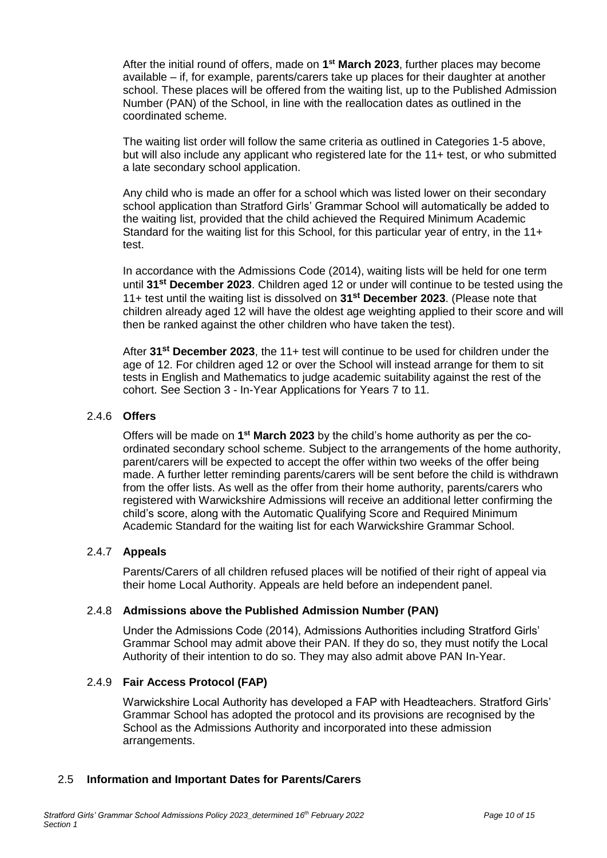After the initial round of offers, made on **1 st March 2023**, further places may become available – if, for example, parents/carers take up places for their daughter at another school. These places will be offered from the waiting list, up to the Published Admission Number (PAN) of the School, in line with the reallocation dates as outlined in the coordinated scheme.

The waiting list order will follow the same criteria as outlined in Categories 1-5 above, but will also include any applicant who registered late for the 11+ test, or who submitted a late secondary school application.

Any child who is made an offer for a school which was listed lower on their secondary school application than Stratford Girls' Grammar School will automatically be added to the waiting list, provided that the child achieved the Required Minimum Academic Standard for the waiting list for this School, for this particular year of entry, in the 11+ test.

In accordance with the Admissions Code (2014), waiting lists will be held for one term until **31st December 2023**. Children aged 12 or under will continue to be tested using the 11+ test until the waiting list is dissolved on **31st December 2023**. (Please note that children already aged 12 will have the oldest age weighting applied to their score and will then be ranked against the other children who have taken the test).

After **31st December 2023**, the 11+ test will continue to be used for children under the age of 12. For children aged 12 or over the School will instead arrange for them to sit tests in English and Mathematics to judge academic suitability against the rest of the cohort. See Section 3 - In-Year Applications for Years 7 to 11.

## 2.4.6 **Offers**

Offers will be made on 1<sup>st</sup> March 2023 by the child's home authority as per the coordinated secondary school scheme. Subject to the arrangements of the home authority, parent/carers will be expected to accept the offer within two weeks of the offer being made. A further letter reminding parents/carers will be sent before the child is withdrawn from the offer lists. As well as the offer from their home authority, parents/carers who registered with Warwickshire Admissions will receive an additional letter confirming the child's score, along with the Automatic Qualifying Score and Required Minimum Academic Standard for the waiting list for each Warwickshire Grammar School.

## 2.4.7 **Appeals**

Parents/Carers of all children refused places will be notified of their right of appeal via their home Local Authority. Appeals are held before an independent panel.

## 2.4.8 **Admissions above the Published Admission Number (PAN)**

Under the Admissions Code (2014), Admissions Authorities including Stratford Girls' Grammar School may admit above their PAN. If they do so, they must notify the Local Authority of their intention to do so. They may also admit above PAN In-Year.

#### 2.4.9 **Fair Access Protocol (FAP)**

Warwickshire Local Authority has developed a FAP with Headteachers. Stratford Girls' Grammar School has adopted the protocol and its provisions are recognised by the School as the Admissions Authority and incorporated into these admission arrangements.

#### 2.5 **Information and Important Dates for Parents/Carers**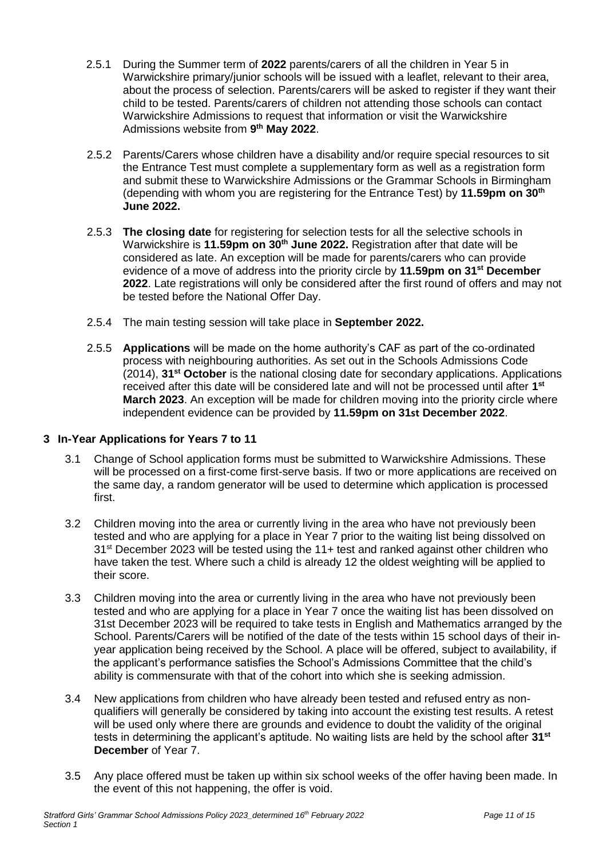- 2.5.1 During the Summer term of **2022** parents/carers of all the children in Year 5 in Warwickshire primary/junior schools will be issued with a leaflet, relevant to their area, about the process of selection. Parents/carers will be asked to register if they want their child to be tested. Parents/carers of children not attending those schools can contact Warwickshire Admissions to request that information or visit the Warwickshire Admissions website from **9 th May 2022**.
- 2.5.2 Parents/Carers whose children have a disability and/or require special resources to sit the Entrance Test must complete a supplementary form as well as a registration form and submit these to Warwickshire Admissions or the Grammar Schools in Birmingham (depending with whom you are registering for the Entrance Test) by **11.59pm on 30th June 2022.**
- 2.5.3 **The closing date** for registering for selection tests for all the selective schools in Warwickshire is **11.59pm on 30th June 2022.** Registration after that date will be considered as late. An exception will be made for parents/carers who can provide evidence of a move of address into the priority circle by **11.59pm on 31st December 2022**. Late registrations will only be considered after the first round of offers and may not be tested before the National Offer Day.
- 2.5.4 The main testing session will take place in **September 2022.**
- 2.5.5 **Applications** will be made on the home authority's CAF as part of the co-ordinated process with neighbouring authorities. As set out in the Schools Admissions Code (2014), **31st October** is the national closing date for secondary applications. Applications received after this date will be considered late and will not be processed until after **1 st March 2023**. An exception will be made for children moving into the priority circle where independent evidence can be provided by **11.59pm on 31st December 2022**.

## **3 In-Year Applications for Years 7 to 11**

- 3.1 Change of School application forms must be submitted to Warwickshire Admissions. These will be processed on a first-come first-serve basis. If two or more applications are received on the same day, a random generator will be used to determine which application is processed first.
- 3.2 Children moving into the area or currently living in the area who have not previously been tested and who are applying for a place in Year 7 prior to the waiting list being dissolved on 31st December 2023 will be tested using the 11+ test and ranked against other children who have taken the test. Where such a child is already 12 the oldest weighting will be applied to their score.
- 3.3 Children moving into the area or currently living in the area who have not previously been tested and who are applying for a place in Year 7 once the waiting list has been dissolved on 31st December 2023 will be required to take tests in English and Mathematics arranged by the School. Parents/Carers will be notified of the date of the tests within 15 school days of their inyear application being received by the School. A place will be offered, subject to availability, if the applicant's performance satisfies the School's Admissions Committee that the child's ability is commensurate with that of the cohort into which she is seeking admission.
- 3.4 New applications from children who have already been tested and refused entry as nonqualifiers will generally be considered by taking into account the existing test results. A retest will be used only where there are grounds and evidence to doubt the validity of the original tests in determining the applicant's aptitude. No waiting lists are held by the school after **31st December** of Year 7.
- 3.5 Any place offered must be taken up within six school weeks of the offer having been made. In the event of this not happening, the offer is void.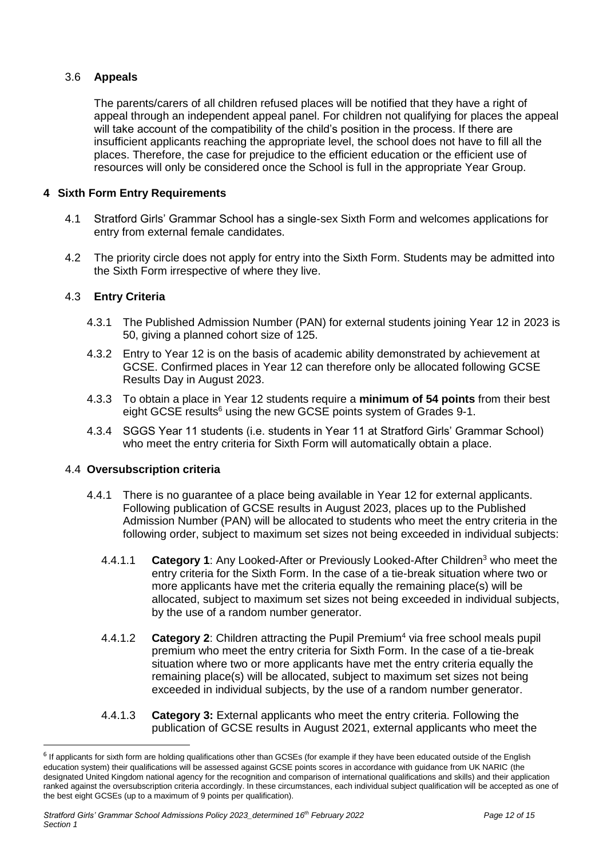# 3.6 **Appeals**

The parents/carers of all children refused places will be notified that they have a right of appeal through an independent appeal panel. For children not qualifying for places the appeal will take account of the compatibility of the child's position in the process. If there are insufficient applicants reaching the appropriate level, the school does not have to fill all the places. Therefore, the case for prejudice to the efficient education or the efficient use of resources will only be considered once the School is full in the appropriate Year Group.

## **4 Sixth Form Entry Requirements**

- 4.1 Stratford Girls' Grammar School has a single-sex Sixth Form and welcomes applications for entry from external female candidates.
- 4.2 The priority circle does not apply for entry into the Sixth Form. Students may be admitted into the Sixth Form irrespective of where they live.

## 4.3 **Entry Criteria**

- 4.3.1 The Published Admission Number (PAN) for external students joining Year 12 in 2023 is 50, giving a planned cohort size of 125.
- 4.3.2 Entry to Year 12 is on the basis of academic ability demonstrated by achievement at GCSE. Confirmed places in Year 12 can therefore only be allocated following GCSE Results Day in August 2023.
- 4.3.3 To obtain a place in Year 12 students require a **minimum of 54 points** from their best eight GCSE results<sup>6</sup> using the new GCSE points system of Grades 9-1.
- 4.3.4 SGGS Year 11 students (i.e. students in Year 11 at Stratford Girls' Grammar School) who meet the entry criteria for Sixth Form will automatically obtain a place.

#### 4.4 **Oversubscription criteria**

 $\overline{a}$ 

- 4.4.1 There is no guarantee of a place being available in Year 12 for external applicants. Following publication of GCSE results in August 2023, places up to the Published Admission Number (PAN) will be allocated to students who meet the entry criteria in the following order, subject to maximum set sizes not being exceeded in individual subjects:
	- 4.4.1.1 **Category 1**: Any Looked-After or Previously Looked-After Children<sup>3</sup> who meet the entry criteria for the Sixth Form. In the case of a tie-break situation where two or more applicants have met the criteria equally the remaining place(s) will be allocated, subject to maximum set sizes not being exceeded in individual subjects, by the use of a random number generator.
	- 4.4.1.2 **Category 2**: Children attracting the Pupil Premium<sup>4</sup> via free school meals pupil premium who meet the entry criteria for Sixth Form. In the case of a tie-break situation where two or more applicants have met the entry criteria equally the remaining place(s) will be allocated, subject to maximum set sizes not being exceeded in individual subjects, by the use of a random number generator.
	- 4.4.1.3 **Category 3:** External applicants who meet the entry criteria. Following the publication of GCSE results in August 2021, external applicants who meet the

<sup>&</sup>lt;sup>6</sup> If applicants for sixth form are holding qualifications other than GCSEs (for example if they have been educated outside of the English education system) their qualifications will be assessed against GCSE points scores in accordance with guidance from UK NARIC (the designated United Kingdom national agency for the recognition and comparison of international qualifications and skills) and their application ranked against the oversubscription criteria accordingly. In these circumstances, each individual subject qualification will be accepted as one of the best eight GCSEs (up to a maximum of 9 points per qualification).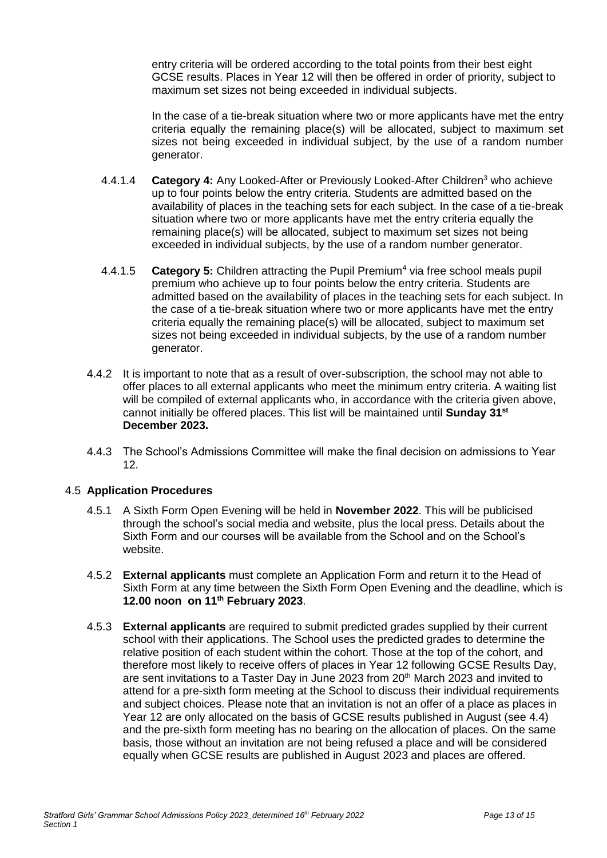entry criteria will be ordered according to the total points from their best eight GCSE results. Places in Year 12 will then be offered in order of priority, subject to maximum set sizes not being exceeded in individual subjects.

In the case of a tie-break situation where two or more applicants have met the entry criteria equally the remaining place(s) will be allocated, subject to maximum set sizes not being exceeded in individual subject, by the use of a random number generator.

- 4.4.1.4 **Category 4:** Any Looked-After or Previously Looked-After Children<sup>3</sup> who achieve up to four points below the entry criteria. Students are admitted based on the availability of places in the teaching sets for each subject. In the case of a tie-break situation where two or more applicants have met the entry criteria equally the remaining place(s) will be allocated, subject to maximum set sizes not being exceeded in individual subjects, by the use of a random number generator.
- 4.4.1.5 **Category 5:** Children attracting the Pupil Premium<sup>4</sup> via free school meals pupil premium who achieve up to four points below the entry criteria. Students are admitted based on the availability of places in the teaching sets for each subject. In the case of a tie-break situation where two or more applicants have met the entry criteria equally the remaining place(s) will be allocated, subject to maximum set sizes not being exceeded in individual subjects, by the use of a random number generator.
- 4.4.2 It is important to note that as a result of over-subscription, the school may not able to offer places to all external applicants who meet the minimum entry criteria. A waiting list will be compiled of external applicants who, in accordance with the criteria given above, cannot initially be offered places. This list will be maintained until **Sunday 31st December 2023.**
- 4.4.3 The School's Admissions Committee will make the final decision on admissions to Year 12.

## 4.5 **Application Procedures**

- 4.5.1 A Sixth Form Open Evening will be held in **November 2022**. This will be publicised through the school's social media and website, plus the local press. Details about the Sixth Form and our courses will be available from the School and on the School's website.
- 4.5.2 **External applicants** must complete an [Application Form](http://www.stratfordgrammar.co.uk/Sixth%20Form%20Prospectus/Application%20form%20for%20Sixth%20form%202006.DOC) and return it to the Head of Sixth Form at any time between the Sixth Form Open Evening and the deadline, which is **12.00 noon on 11th February 2023**.
- 4.5.3 **External applicants** are required to submit predicted grades supplied by their current school with their applications. The School uses the predicted grades to determine the relative position of each student within the cohort. Those at the top of the cohort, and therefore most likely to receive offers of places in Year 12 following GCSE Results Day, are sent invitations to a Taster Day in June 2023 from  $20<sup>th</sup>$  March 2023 and invited to attend for a pre-sixth form meeting at the School to discuss their individual requirements and subject choices. Please note that an invitation is not an offer of a place as places in Year 12 are only allocated on the basis of GCSE results published in August (see 4.4) and the pre-sixth form meeting has no bearing on the allocation of places. On the same basis, those without an invitation are not being refused a place and will be considered equally when GCSE results are published in August 2023 and places are offered.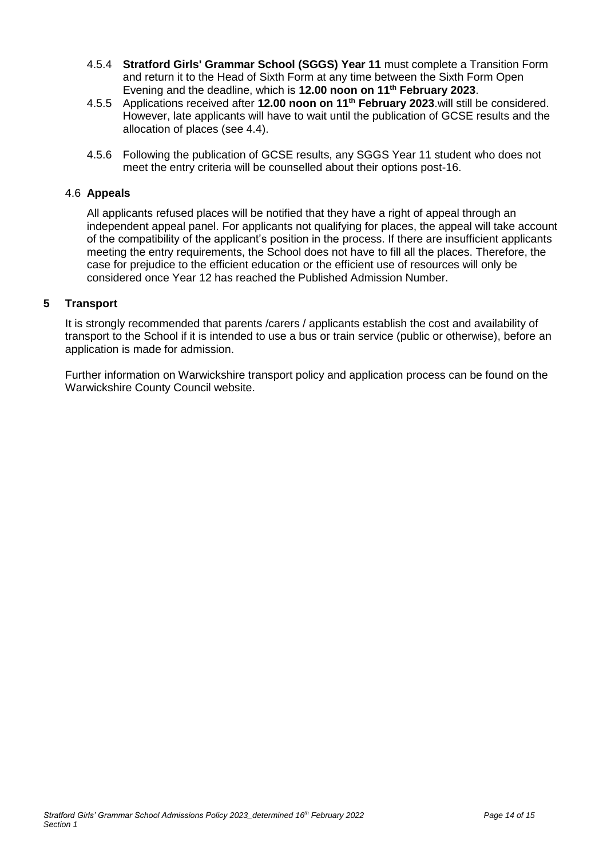- 4.5.4 **Stratford Girls' Grammar School (SGGS) Year 11** must complete a Transition Form and return it to the Head of Sixth Form at any time between the Sixth Form Open Evening and the deadline, which is **12.00 noon on 11th February 2023**.
- 4.5.5 Applications received after **12.00 noon on 11th February 2023**.will still be considered. However, late applicants will have to wait until the publication of GCSE results and the allocation of places (see 4.4).
- 4.5.6 Following the publication of GCSE results, any SGGS Year 11 student who does not meet the entry criteria will be counselled about their options post-16.

#### 4.6 **Appeals**

All applicants refused places will be notified that they have a right of appeal through an independent appeal panel. For applicants not qualifying for places, the appeal will take account of the compatibility of the applicant's position in the process. If there are insufficient applicants meeting the entry requirements, the School does not have to fill all the places. Therefore, the case for prejudice to the efficient education or the efficient use of resources will only be considered once Year 12 has reached the Published Admission Number.

#### **5 Transport**

It is strongly recommended that parents /carers / applicants establish the cost and availability of transport to the School if it is intended to use a bus or train service (public or otherwise), before an application is made for admission.

Further information on Warwickshire transport policy and application process can be found on the Warwickshire County Council website.